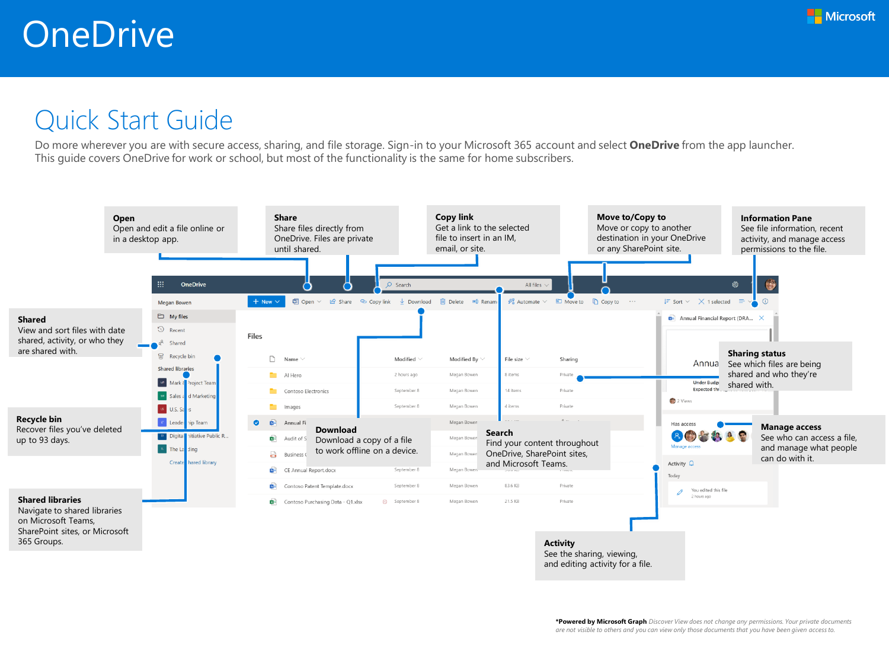

## Quick Start Guide

Do more wherever you are with secure access, sharing, and file storage. Sign-in to your Microsoft 365 account and select **OneDrive** from the app launcher. This guide covers OneDrive for work or school, but most of the functionality is the same for home subscribers.

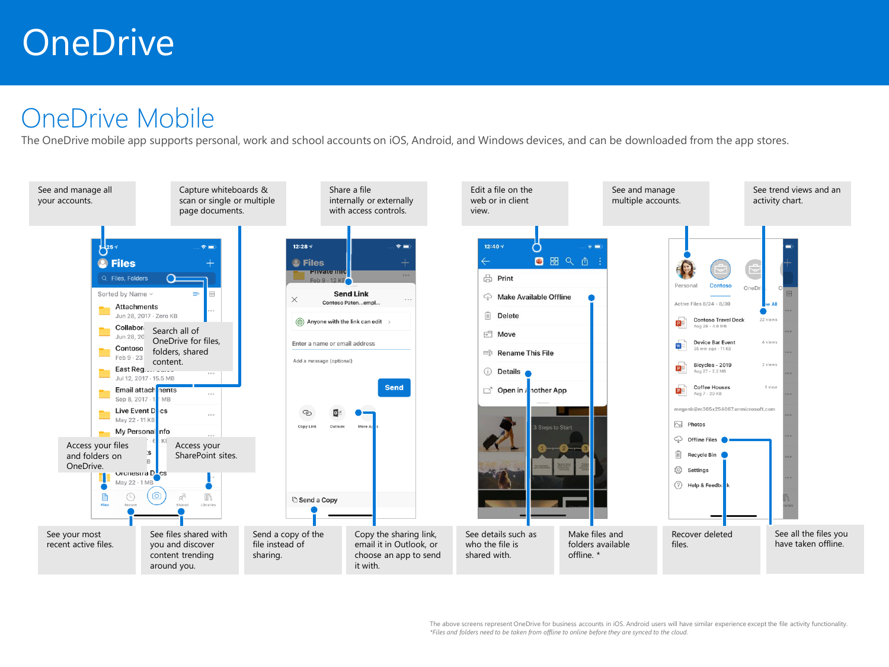## **OneDrive**

## OneDrive Mobile

The OneDrive mobile app supports personal, work and school accounts on iOS, Android, and Windows devices, and can be downloaded from the app stores.

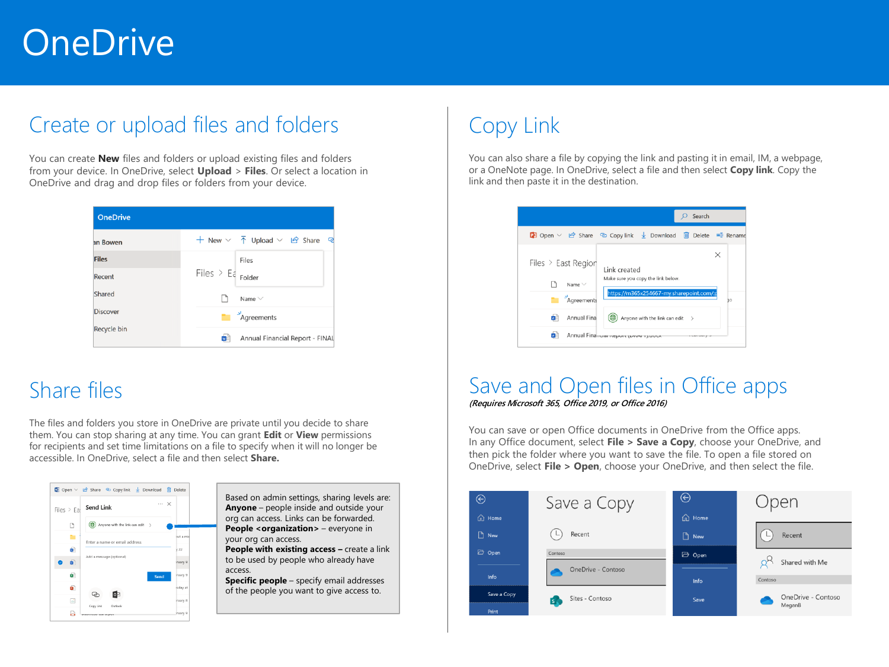# **OneDrive**

### Create or upload files and folders

You can create **New** files and folders or upload existing files and folders from your device. In OneDrive, select **Upload** > **Files**. Or select a location in OneDrive and drag and drop files or folders from your device.

| <b>OneDrive</b> |                                                                                |
|-----------------|--------------------------------------------------------------------------------|
| an Bowen        | + New $\vee$ $\overline{\uparrow}$ Upload $\vee$ $\overline{\uparrow}$ Share Q |
| <b>Files</b>    | Files                                                                          |
| Recent          | Files > $E_{\epsilon}$ Folder                                                  |
| Shared          | Name $\vee$                                                                    |
| <b>Discover</b> | $\sum_{i=1}^{N}$ Agreements                                                    |
| Recycle bin     | Annual Financial Report - FINAL<br>w                                           |

### Share files

The files and folders you store in OneDrive are private until you decide to share them. You can stop sharing at any time. You can grant **Edit** or **View** permissions for recipients and set time limitations on a file to specify when it will no longer be accessible. In OneDrive, select a file and then select **Share.** 



Based on admin settings, sharing levels are: **Anyone** – people inside and outside your org can access. Links can be forwarded. **People <organization>** – everyone in your org can access.

**People with existing access –** create a link to be used by people who already have access.

**Specific people** – specify email addresses of the people you want to give access to.

## Copy Link

You can also share a file by copying the link and pasting it in email, IM, a webpage, or a OneNote page. In OneDrive, select a file and then select **Copy link**. Copy the link and then paste it in the destination.

|                                                          | Search                                                                                                           |
|----------------------------------------------------------|------------------------------------------------------------------------------------------------------------------|
|                                                          | <b>De</b> Open ∨ Le Share © Copy link Le Download in Delete = Rename                                             |
| Files $>$ East Region<br>Name $\vee$<br>Agreements<br>n. | $\times$<br>Link created<br>Make sure you copy the link below.<br>https://m365x254667-my.sharepoint.com/:p<br>ЭO |
| Annual Fina<br>w                                         | Anyone with the link can edit >                                                                                  |
| w                                                        | Annual Financial Ineport (private ratio                                                                          |

### Save and Open files in Office apps *(Requires Microsoft 365, Office 2019, or Office 2016)*

You can save or open Office documents in OneDrive from the Office apps. In any Office document, select **File > Save a Copy**, choose your OneDrive, and then pick the folder where you want to save the file. To open a file stored on OneDrive, select **File > Open**, choose your OneDrive, and then select the file.